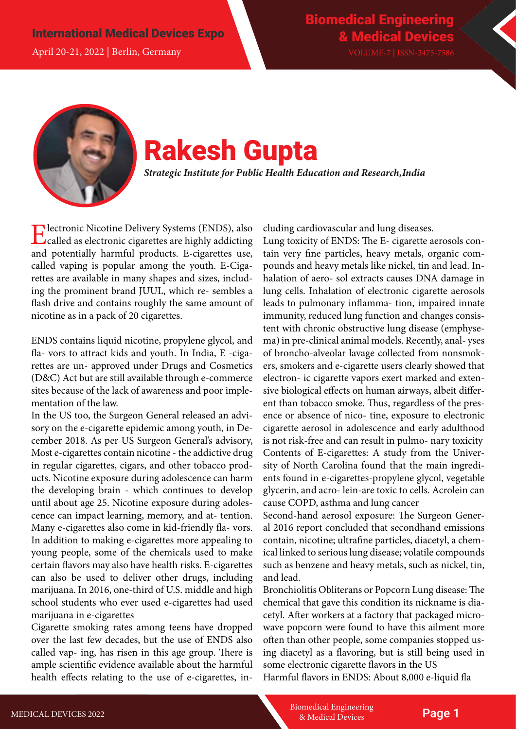International Medical Devices Expo April 20-21, 2022 | Berlin, Germany

## Biomedical Engineering & Medical Devices



# Rakesh Gupta

*Strategic Institute for Public Health Education and Research, India*

Electronic Nicotine Delivery Systems (ENDS), also called as electronic cigarettes are highly addicting and potentially harmful products. E-cigarettes use, called vaping is popular among the youth. E-Cigarettes are available in many shapes and sizes, including the prominent brand JUUL, which re- sembles a flash drive and contains roughly the same amount of nicotine as in a pack of 20 cigarettes.

ENDS contains liquid nicotine, propylene glycol, and fla- vors to attract kids and youth. In India, E -cigarettes are un- approved under Drugs and Cosmetics (D&C) Act but are still available through e-commerce sites because of the lack of awareness and poor implementation of the law.

In the US too, the Surgeon General released an advisory on the e-cigarette epidemic among youth, in December 2018. As per US Surgeon General's advisory, Most e-cigarettes contain nicotine - the addictive drug in regular cigarettes, cigars, and other tobacco products. Nicotine exposure during adolescence can harm the developing brain - which continues to develop until about age 25. Nicotine exposure during adolescence can impact learning, memory, and at- tention. Many e-cigarettes also come in kid-friendly fla- vors. In addition to making e-cigarettes more appealing to young people, some of the chemicals used to make certain flavors may also have health risks. E-cigarettes can also be used to deliver other drugs, including marijuana. In 2016, one-third of U.S. middle and high school students who ever used e-cigarettes had used marijuana in e-cigarettes

Cigarette smoking rates among teens have dropped over the last few decades, but the use of ENDS also called vap- ing, has risen in this age group. There is ample scientific evidence available about the harmful health effects relating to the use of e-cigarettes, including cardiovascular and lung diseases.

Lung toxicity of ENDS: The E- cigarette aerosols contain very fine particles, heavy metals, organic compounds and heavy metals like nickel, tin and lead. Inhalation of aero- sol extracts causes DNA damage in lung cells. Inhalation of electronic cigarette aerosols leads to pulmonary inflamma- tion, impaired innate immunity, reduced lung function and changes consistent with chronic obstructive lung disease (emphysema) in pre-clinical animal models. Recently, anal- yses of broncho-alveolar lavage collected from nonsmokers, smokers and e-cigarette users clearly showed that electron- ic cigarette vapors exert marked and extensive biological effects on human airways, albeit different than tobacco smoke. Thus, regardless of the presence or absence of nico- tine, exposure to electronic cigarette aerosol in adolescence and early adulthood is not risk-free and can result in pulmo- nary toxicity Contents of E-cigarettes: A study from the University of North Carolina found that the main ingredients found in e-cigarettes-propylene glycol, vegetable glycerin, and acro- lein-are toxic to cells. Acrolein can cause COPD, asthma and lung cancer

Second-hand aerosol exposure: The Surgeon General 2016 report concluded that secondhand emissions contain, nicotine; ultrafine particles, diacetyl, a chemical linked to serious lung disease; volatile compounds such as benzene and heavy metals, such as nickel, tin, and lead.

Bronchiolitis Obliterans or Popcorn Lung disease: The chemical that gave this condition its nickname is diacetyl. After workers at a factory that packaged microwave popcorn were found to have this ailment more often than other people, some companies stopped using diacetyl as a flavoring, but is still being used in some electronic cigarette flavors in the US Harmful flavors in ENDS: About 8,000 e-liquid fla

Biomedical Engineering MEDICAL DEVICES 2022 **and Engineering MEDICAL DEVICES** 2022